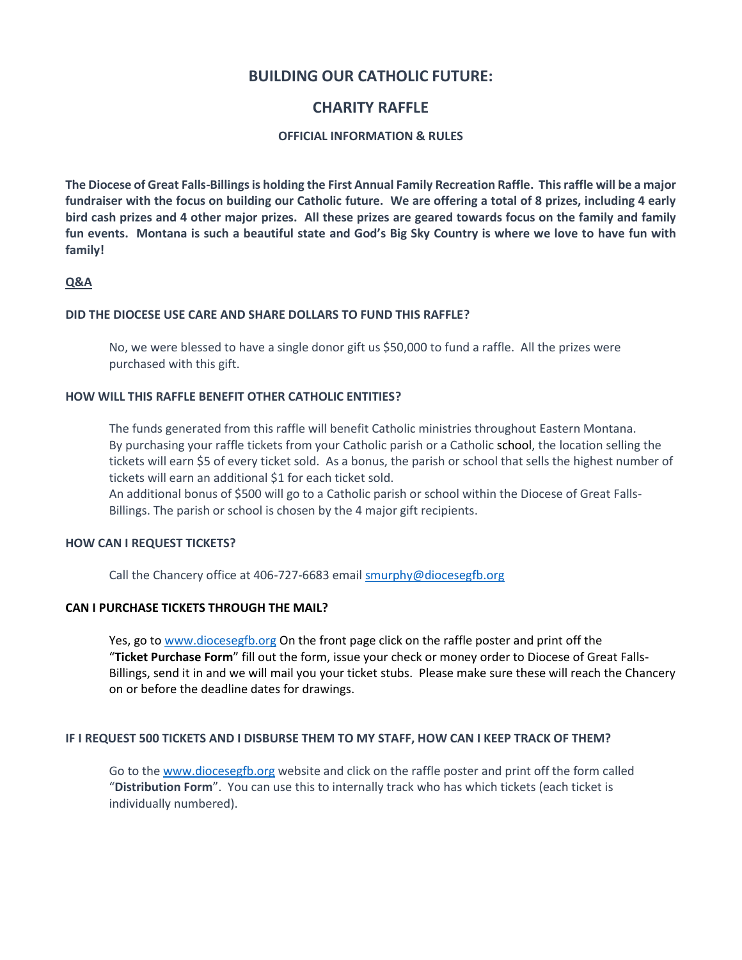# **BUILDING OUR CATHOLIC FUTURE:**

# **CHARITY RAFFLE**

# **OFFICIAL INFORMATION & RULES**

**The Diocese of Great Falls-Billings is holding the First Annual Family Recreation Raffle. Thisraffle will be a major fundraiser with the focus on building our Catholic future. We are offering a total of 8 prizes, including 4 early bird cash prizes and 4 other major prizes. All these prizes are geared towards focus on the family and family fun events. Montana is such a beautiful state and God's Big Sky Country is where we love to have fun with family!**

# **Q&A**

# **DID THE DIOCESE USE CARE AND SHARE DOLLARS TO FUND THIS RAFFLE?**

No, we were blessed to have a single donor gift us \$50,000 to fund a raffle. All the prizes were purchased with this gift.

#### **HOW WILL THIS RAFFLE BENEFIT OTHER CATHOLIC ENTITIES?**

The funds generated from this raffle will benefit Catholic ministries throughout Eastern Montana. By purchasing your raffle tickets from your Catholic parish or a Catholic school, the location selling the tickets will earn \$5 of every ticket sold. As a bonus, the parish or school that sells the highest number of tickets will earn an additional \$1 for each ticket sold.

An additional bonus of \$500 will go to a Catholic parish or school within the Diocese of Great Falls-Billings. The parish or school is chosen by the 4 major gift recipients.

#### **HOW CAN I REQUEST TICKETS?**

Call the Chancery office at 406-727-6683 email [smurphy@diocesegfb.org](mailto:smurphy@diocesegfb.org)

#### **CAN I PURCHASE TICKETS THROUGH THE MAIL?**

Yes, go to [www.diocesegfb.org](http://www.diocesegfb.org/) On the front page click on the raffle poster and print off the "**Ticket Purchase Form**" fill out the form, issue your check or money order to Diocese of Great Falls-Billings, send it in and we will mail you your ticket stubs. Please make sure these will reach the Chancery on or before the deadline dates for drawings.

#### **IF I REQUEST 500 TICKETS AND I DISBURSE THEM TO MY STAFF, HOW CAN I KEEP TRACK OF THEM?**

Go to th[e www.diocesegfb.org](http://www.diocesegfb.org/) website and click on the raffle poster and print off the form called "**Distribution Form**". You can use this to internally track who has which tickets (each ticket is individually numbered).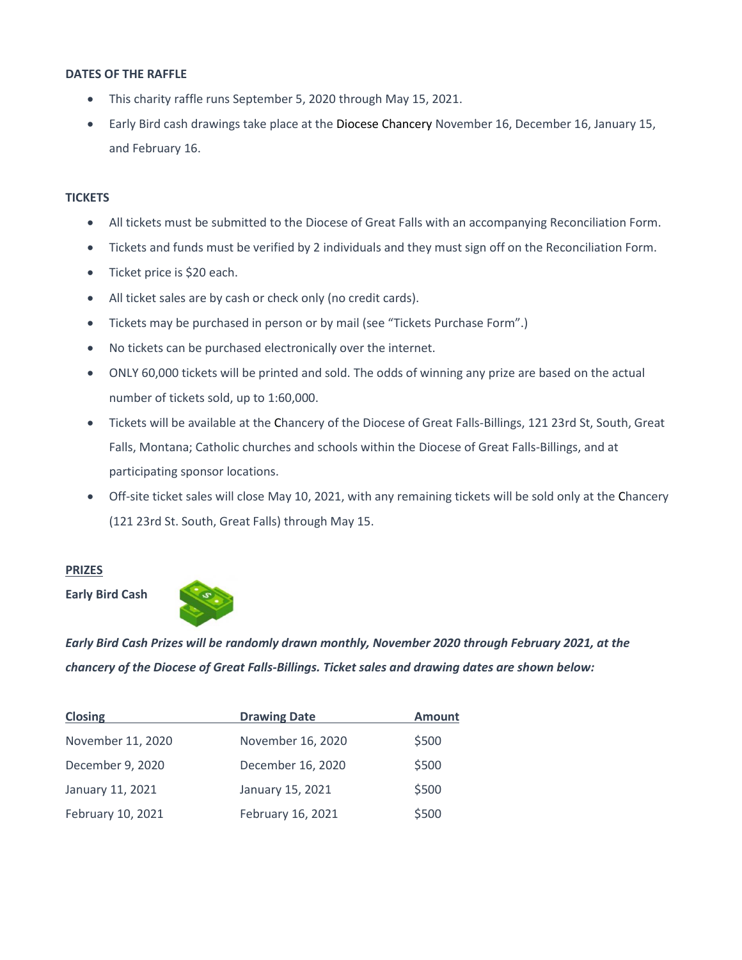# **DATES OF THE RAFFLE**

- This charity raffle runs September 5, 2020 through May 15, 2021.
- Early Bird cash drawings take place at the Diocese Chancery November 16, December 16, January 15, and February 16.

### **TICKETS**

- All tickets must be submitted to the Diocese of Great Falls with an accompanying Reconciliation Form.
- Tickets and funds must be verified by 2 individuals and they must sign off on the Reconciliation Form.
- Ticket price is \$20 each.
- All ticket sales are by cash or check only (no credit cards).
- Tickets may be purchased in person or by mail (see "Tickets Purchase Form".)
- No tickets can be purchased electronically over the internet.
- ONLY 60,000 tickets will be printed and sold. The odds of winning any prize are based on the actual number of tickets sold, up to 1:60,000.
- Tickets will be available at the Chancery of the Diocese of Great Falls-Billings, 121 23rd St, South, Great Falls, Montana; Catholic churches and schools within the Diocese of Great Falls-Billings, and at participating sponsor locations.
- Off-site ticket sales will close May 10, 2021, with any remaining tickets will be sold only at the Chancery (121 23rd St. South, Great Falls) through May 15.

#### **PRIZES**

**Early Bird Cash** 



*Early Bird Cash Prizes will be randomly drawn monthly, November 2020 through February 2021, at the chancery of the Diocese of Great Falls-Billings. Ticket sales and drawing dates are shown below:*

| <b>Closing</b>    | <b>Drawing Date</b> | <b>Amount</b> |
|-------------------|---------------------|---------------|
| November 11, 2020 | November 16, 2020   | \$500         |
| December 9, 2020  | December 16, 2020   | \$500         |
| January 11, 2021  | January 15, 2021    | \$500         |
| February 10, 2021 | February 16, 2021   | \$500         |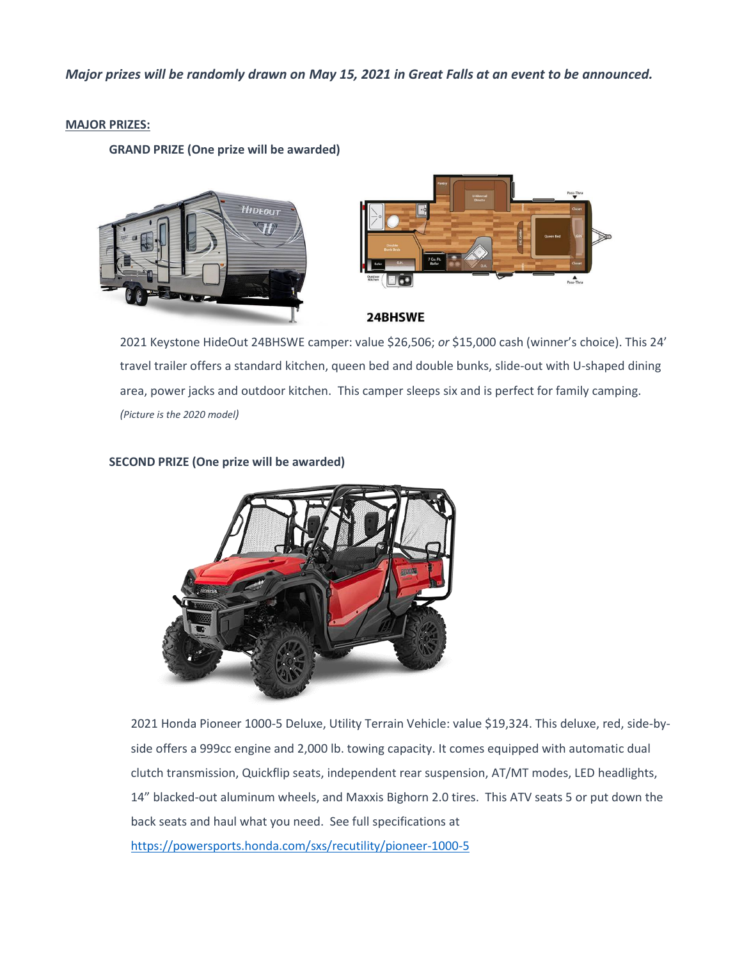# *Major prizes will be randomly drawn on May 15, 2021 in Great Falls at an event to be announced.*

### **MAJOR PRIZES:**

**GRAND PRIZE (One prize will be awarded)**





# 24BHSWE

2021 Keystone HideOut 24BHSWE camper: value \$26,506; *or* \$15,000 cash (winner's choice). This 24' travel trailer offers a standard kitchen, queen bed and double bunks, slide-out with U-shaped dining area, power jacks and outdoor kitchen. This camper sleeps six and is perfect for family camping. *(Picture is the 2020 model)*

# **SECOND PRIZE (One prize will be awarded)**



2021 Honda Pioneer 1000-5 Deluxe, Utility Terrain Vehicle: value \$19,324. This deluxe, red, side-byside offers a 999cc engine and 2,000 lb. towing capacity. It comes equipped with automatic dual clutch transmission, Quickflip seats, independent rear suspension, AT/MT modes, LED headlights, 14" blacked-out aluminum wheels, and Maxxis Bighorn 2.0 tires. This ATV seats 5 or put down the back seats and haul what you need. See full specifications at <https://powersports.honda.com/sxs/recutility/pioneer-1000-5>